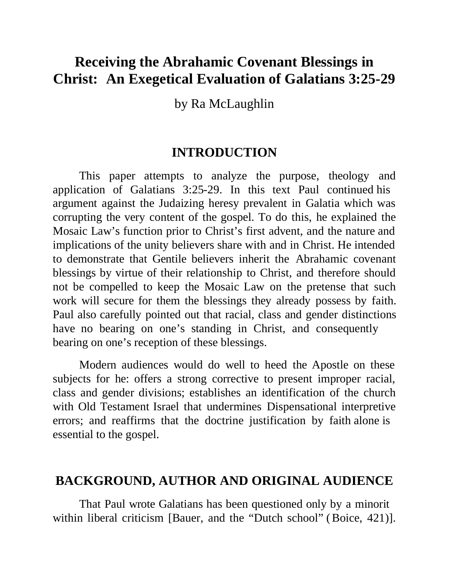# **Receiving the Abrahamic Covenant Blessings in Christ: An Exegetical Evaluation of Galatians 3:25-29**

by Ra McLaughlin

## **INTRODUCTION**

This paper attempts to analyze the purpose, theology and application of Galatians 3:25-29. In this text Paul continued his argument against the Judaizing heresy prevalent in Galatia which was corrupting the very content of the gospel. To do this, he explained the Mosaic Law's function prior to Christ's first advent, and the nature and implications of the unity believers share with and in Christ. He intended to demonstrate that Gentile believers inherit the Abrahamic covenant blessings by virtue of their relationship to Christ, and therefore should not be compelled to keep the Mosaic Law on the pretense that such work will secure for them the blessings they already possess by faith. Paul also carefully pointed out that racial, class and gender distinctions have no bearing on one's standing in Christ, and consequently bearing on one's reception of these blessings.

Modern audiences would do well to heed the Apostle on these subjects for he: offers a strong corrective to present improper racial, class and gender divisions; establishes an identification of the church with Old Testament Israel that undermines Dispensational interpretive errors; and reaffirms that the doctrine justification by faith alone is essential to the gospel.

## **BACKGROUND, AUTHOR AND ORIGINAL AUDIENCE**

That Paul wrote Galatians has been questioned only by a minorit within liberal criticism [Bauer, and the "Dutch school" (Boice, 421)].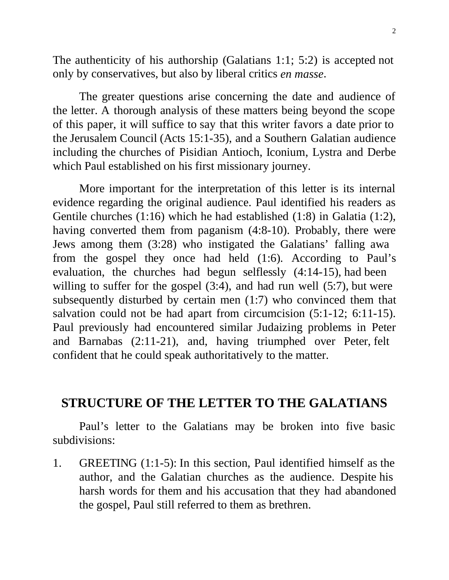The authenticity of his authorship (Galatians 1:1; 5:2) is accepted not only by conservatives, but also by liberal critics *en masse*.

The greater questions arise concerning the date and audience of the letter. A thorough analysis of these matters being beyond the scope of this paper, it will suffice to say that this writer favors a date prior to the Jerusalem Council (Acts 15:1-35), and a Southern Galatian audience including the churches of Pisidian Antioch, Iconium, Lystra and Derbe which Paul established on his first missionary journey.

More important for the interpretation of this letter is its internal evidence regarding the original audience. Paul identified his readers as Gentile churches (1:16) which he had established (1:8) in Galatia (1:2), having converted them from paganism (4:8-10). Probably, there were Jews among them (3:28) who instigated the Galatians' falling awa from the gospel they once had held (1:6). According to Paul's evaluation, the churches had begun selflessly (4:14-15), had been willing to suffer for the gospel (3:4), and had run well (5:7), but were subsequently disturbed by certain men (1:7) who convinced them that salvation could not be had apart from circumcision (5:1-12; 6:11-15). Paul previously had encountered similar Judaizing problems in Peter and Barnabas (2:11-21), and, having triumphed over Peter, felt confident that he could speak authoritatively to the matter.

# **STRUCTURE OF THE LETTER TO THE GALATIANS**

Paul's letter to the Galatians may be broken into five basic subdivisions:

1. GREETING (1:1-5): In this section, Paul identified himself as the author, and the Galatian churches as the audience. Despite his harsh words for them and his accusation that they had abandoned the gospel, Paul still referred to them as brethren.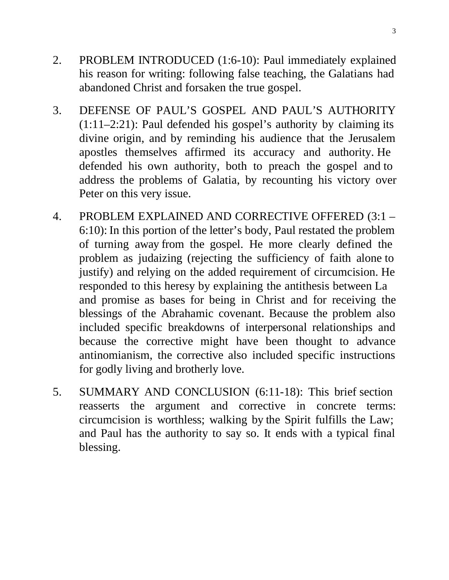- 2. PROBLEM INTRODUCED (1:6-10): Paul immediately explained his reason for writing: following false teaching, the Galatians had abandoned Christ and forsaken the true gospel.
- 3. DEFENSE OF PAUL'S GOSPEL AND PAUL'S AUTHORITY  $(1:11-2:21)$ : Paul defended his gospel's authority by claiming its divine origin, and by reminding his audience that the Jerusalem apostles themselves affirmed its accuracy and authority. He defended his own authority, both to preach the gospel and to address the problems of Galatia, by recounting his victory over Peter on this very issue.
- 4. PROBLEM EXPLAINED AND CORRECTIVE OFFERED (3:1 6:10): In this portion of the letter's body, Paul restated the problem of turning away from the gospel. He more clearly defined the problem as judaizing (rejecting the sufficiency of faith alone to justify) and relying on the added requirement of circumcision. He responded to this heresy by explaining the antithesis between La and promise as bases for being in Christ and for receiving the blessings of the Abrahamic covenant. Because the problem also included specific breakdowns of interpersonal relationships and because the corrective might have been thought to advance antinomianism, the corrective also included specific instructions for godly living and brotherly love.
- 5. SUMMARY AND CONCLUSION (6:11-18): This brief section reasserts the argument and corrective in concrete terms: circumcision is worthless; walking by the Spirit fulfills the Law; and Paul has the authority to say so. It ends with a typical final blessing.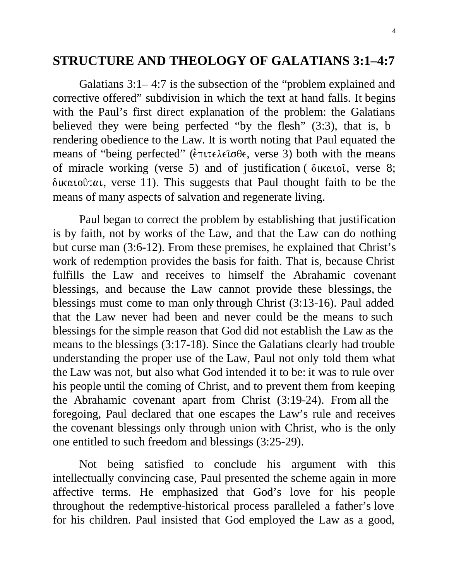# **STRUCTURE AND THEOLOGY OF GALATIANS 3:1–4:7**

Galatians 3:1– 4:7 is the subsection of the "problem explained and corrective offered" subdivision in which the text at hand falls. It begins with the Paul's first direct explanation of the problem: the Galatians believed they were being perfected "by the flesh" (3:3), that is, b rendering obedience to the Law. It is worth noting that Paul equated the means of "being perfected" (έπιτελεΐσθε, verse 3) both with the means of miracle working (verse 5) and of justification (δικαιοῖ, verse 8;  $\delta$ ικαιοῦται, verse 11). This suggests that Paul thought faith to be the means of many aspects of salvation and regenerate living.

Paul began to correct the problem by establishing that justification is by faith, not by works of the Law, and that the Law can do nothing but curse man (3:6-12). From these premises, he explained that Christ's work of redemption provides the basis for faith. That is, because Christ fulfills the Law and receives to himself the Abrahamic covenant blessings, and because the Law cannot provide these blessings, the blessings must come to man only through Christ (3:13-16). Paul added that the Law never had been and never could be the means to such blessings for the simple reason that God did not establish the Law as the means to the blessings (3:17-18). Since the Galatians clearly had trouble understanding the proper use of the Law, Paul not only told them what the Law was not, but also what God intended it to be: it was to rule over his people until the coming of Christ, and to prevent them from keeping the Abrahamic covenant apart from Christ (3:19-24). From all the foregoing, Paul declared that one escapes the Law's rule and receives the covenant blessings only through union with Christ, who is the only one entitled to such freedom and blessings (3:25-29).

Not being satisfied to conclude his argument with this intellectually convincing case, Paul presented the scheme again in more affective terms. He emphasized that God's love for his people throughout the redemptive-historical process paralleled a father's love for his children. Paul insisted that God employed the Law as a good,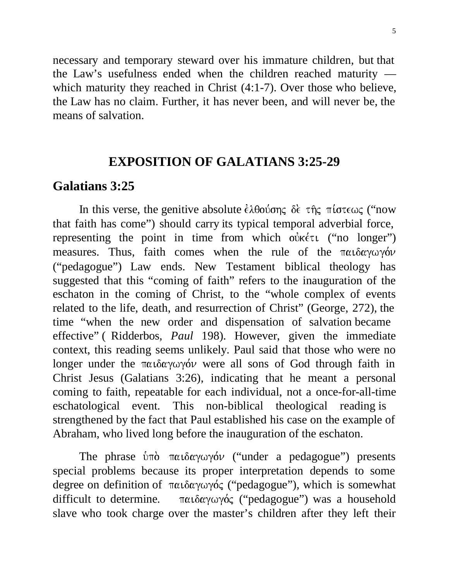necessary and temporary steward over his immature children, but that the Law's usefulness ended when the children reached maturity which maturity they reached in Christ  $(4:1-7)$ . Over those who believe, the Law has no claim. Further, it has never been, and will never be, the means of salvation.

# **EXPOSITION OF GALATIANS 3:25-29**

# **Galatians 3:25**

In this verse, the genitive absolute έλθούσης δε της πίστεως ("now that faith has come") should carry its typical temporal adverbial force, representing the point in time from which oùket ("no longer") measures. Thus, faith comes when the rule of the  $\pi \alpha \iota \delta \alpha \gamma \omega \gamma \delta \nu$ ("pedagogue") Law ends. New Testament biblical theology has suggested that this "coming of faith" refers to the inauguration of the eschaton in the coming of Christ, to the "whole complex of events related to the life, death, and resurrection of Christ" (George, 272), the time "when the new order and dispensation of salvation became effective" ( Ridderbos, *Paul* 198). However, given the immediate context, this reading seems unlikely. Paul said that those who were no longer under the παιδαγωγόν were all sons of God through faith in Christ Jesus (Galatians 3:26), indicating that he meant a personal coming to faith, repeatable for each individual, not a once-for-all-time eschatological event. This non-biblical theological reading is strengthened by the fact that Paul established his case on the example of Abraham, who lived long before the inauguration of the eschaton.

The phrase  $\phi \pi \delta$   $\pi \alpha \iota \delta \alpha \gamma \omega \gamma \delta \nu$  ("under a pedagogue") presents special problems because its proper interpretation depends to some degree on definition of παιδαγωγός ("pedagogue"), which is somewhat difficult to determine.   $παιδαγωγός$  ("pedagogue") was a household slave who took charge over the master's children after they left their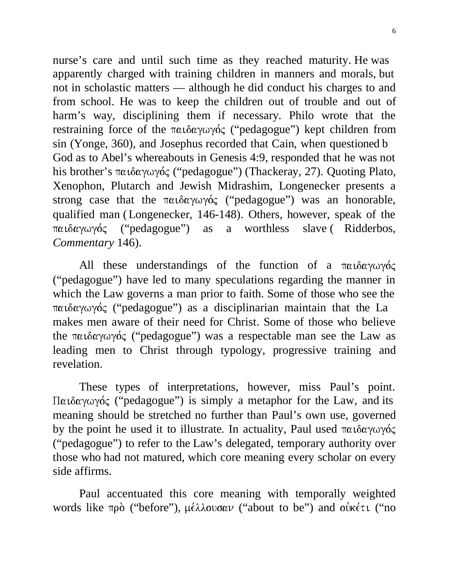nurse's care and until such time as they reached maturity. He was apparently charged with training children in manners and morals, but not in scholastic matters — although he did conduct his charges to and from school. He was to keep the children out of trouble and out of harm's way, disciplining them if necessary. Philo wrote that the restraining force of the παιδαγωγός ("pedagogue") kept children from sin (Yonge, 360), and Josephus recorded that Cain, when questioned b God as to Abel's whereabouts in Genesis 4:9, responded that he was not his brother's παιδαγωγός ("pedagogue") (Thackeray, 27). Quoting Plato, Xenophon, Plutarch and Jewish Midrashim, Longenecker presents a strong case that the παιδαγωγός ("pedagogue") was an honorable, qualified man ( Longenecker, 146-148). Others, however, speak of the παιδαγωγός  ("pedagogue") as a worthless slave ( Ridderbos, *Commentary* 146).

All these understandings of the function of a  $\pi\alpha\iota\delta\alpha\gamma\omega\gamma\delta\zeta$ ("pedagogue") have led to many speculations regarding the manner in which the Law governs a man prior to faith. Some of those who see the   ("pedagogue") as a disciplinarian maintain that the La makes men aware of their need for Christ. Some of those who believe the παιδαγωγός ("pedagogue") was a respectable man see the Law as leading men to Christ through typology, progressive training and revelation.

These types of interpretations, however, miss Paul's point. Παιδαγωγός ("pedagogue") is simply a metaphor for the Law, and its meaning should be stretched no further than Paul's own use, governed by the point he used it to illustrate. In actuality, Paul used παιδαγωγός ("pedagogue") to refer to the Law's delegated, temporary authority over those who had not matured, which core meaning every scholar on every side affirms.

Paul accentuated this core meaning with temporally weighted words like πρὸ ("before"), μέλλουσαν ("about to be") and οὐκέτι ("no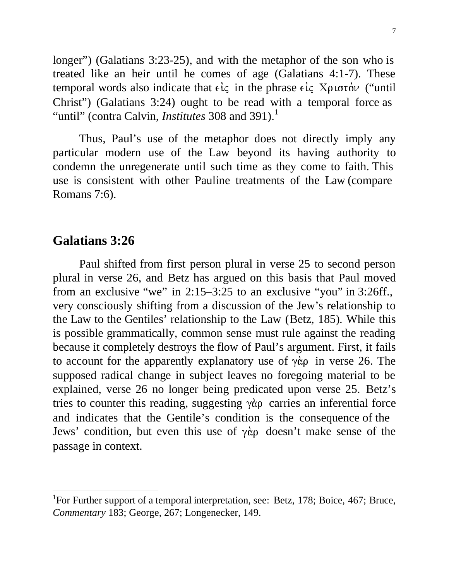longer") (Galatians 3:23-25), and with the metaphor of the son who is treated like an heir until he comes of age (Galatians 4:1-7). These temporal words also indicate that  $\epsilon \zeta$  in the phrase  $\epsilon \zeta$   $X$  $\rho \iota \sigma \tau \delta \nu$  ("until Christ") (Galatians 3:24) ought to be read with a temporal force as "until" (contra Calvin, *Institutes* 308 and 391).<sup>1</sup>

Thus, Paul's use of the metaphor does not directly imply any particular modern use of the Law beyond its having authority to condemn the unregenerate until such time as they come to faith. This use is consistent with other Pauline treatments of the Law (compare Romans 7:6).

## **Galatians 3:26**

 $\overline{a}$ 

Paul shifted from first person plural in verse 25 to second person plural in verse 26, and Betz has argued on this basis that Paul moved from an exclusive "we" in 2:15–3:25 to an exclusive "you" in 3:26ff., very consciously shifting from a discussion of the Jew's relationship to the Law to the Gentiles' relationship to the Law (Betz, 185). While this is possible grammatically, common sense must rule against the reading because it completely destroys the flow of Paul's argument. First, it fails to account for the apparently explanatory use of  $\gamma \dot{\alpha}$  in verse 26. The supposed radical change in subject leaves no foregoing material to be explained, verse 26 no longer being predicated upon verse 25. Betz's tries to counter this reading, suggesting  $\gamma \dot{\alpha}$  carries an inferential force and indicates that the Gentile's condition is the consequence of the Jews' condition, but even this use of  $\gamma \dot{\alpha}$  doesn't make sense of the passage in context.

<sup>&</sup>lt;sup>1</sup>For Further support of a temporal interpretation, see: Betz, 178; Boice, 467; Bruce, *Commentary* 183; George, 267; Longenecker, 149.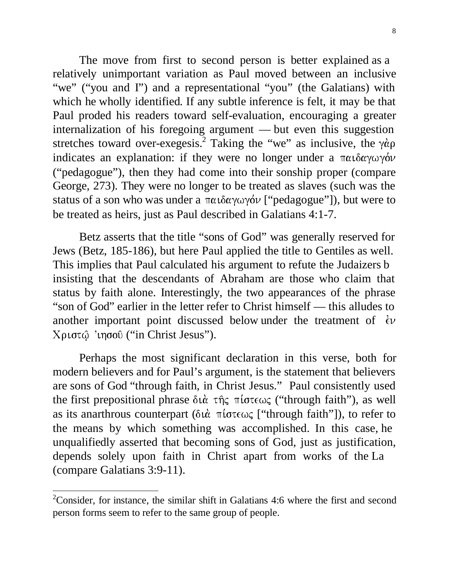The move from first to second person is better explained as a relatively unimportant variation as Paul moved between an inclusive "we" ("you and I") and a representational "you" (the Galatians) with which he wholly identified. If any subtle inference is felt, it may be that Paul proded his readers toward self-evaluation, encouraging a greater internalization of his foregoing argument — but even this suggestion stretches toward over-exegesis.<sup>2</sup> Taking the "we" as inclusive, the  $\gamma \dot{\alpha} \rho$ indicates an explanation: if they were no longer under a παιδαγωγόν ("pedagogue"), then they had come into their sonship proper (compare George, 273). They were no longer to be treated as slaves (such was the status of a son who was under a παιδαγωγόν ["pedagogue"]), but were to be treated as heirs, just as Paul described in Galatians 4:1-7.

Betz asserts that the title "sons of God" was generally reserved for Jews (Betz, 185-186), but here Paul applied the title to Gentiles as well. This implies that Paul calculated his argument to refute the Judaizers b insisting that the descendants of Abraham are those who claim that status by faith alone. Interestingly, the two appearances of the phrase "son of God" earlier in the letter refer to Christ himself — this alludes to another important point discussed below under the treatment of  $\epsilon \nu$ ("in Christ Jesus").

Perhaps the most significant declaration in this verse, both for modern believers and for Paul's argument, is the statement that believers are sons of God "through faith, in Christ Jesus." Paul consistently used the first prepositional phrase διά της πίστεως ("through faith"), as well as its anarthrous counterpart (διὰ πίστεως ["through faith"]), to refer to the means by which something was accomplished. In this case, he unqualifiedly asserted that becoming sons of God, just as justification, depends solely upon faith in Christ apart from works of the La (compare Galatians 3:9-11).

 $2$ Consider, for instance, the similar shift in Galatians 4:6 where the first and second person forms seem to refer to the same group of people.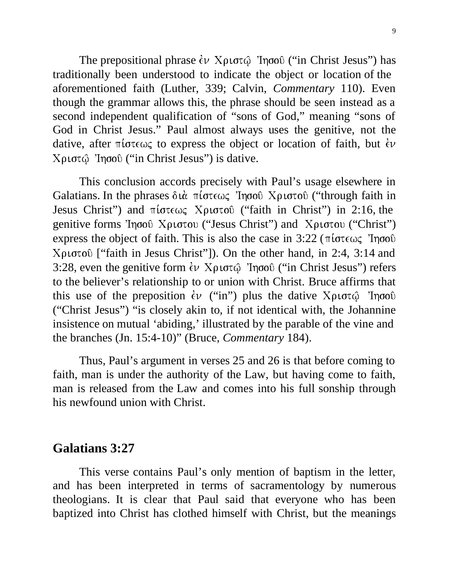The prepositional phrase  $\epsilon \nu$  Χριστ $\hat{\omega}$  'Ιησού ("in Christ Jesus") has traditionally been understood to indicate the object or location of the aforementioned faith (Luther, 339; Calvin, *Commentary* 110). Even though the grammar allows this, the phrase should be seen instead as a second independent qualification of "sons of God," meaning "sons of God in Christ Jesus." Paul almost always uses the genitive, not the dative, after  $\pi i \sigma \tau \epsilon \omega \zeta$  to express the object or location of faith, but  $\epsilon \nu$ ("in Christ Jesus") is dative.

This conclusion accords precisely with Paul's usage elsewhere in Galatians. In the phrases διὰ πίστεως Ἰησοῦ Χριστοῦ ("through faith in Jesus Christ") and  $\pi i \sigma \tau \in \mathcal{S}$  Xptorov ("faith in Christ") in 2:16, the genitive forms Ίησοῦ Χριστου ("Jesus Christ") and Χριστου ("Christ") express the object of faith. This is also the case in  $3:22$  ( $\pi i \sigma \tau \epsilon \omega \zeta$  'Ingov'  $Xριστού$  ["faith in Jesus Christ"]). On the other hand, in 2:4, 3:14 and 3:28, even the genitive form έν Χριστώ Ίησοῦ ("in Christ Jesus") refers to the believer's relationship to or union with Christ. Bruce affirms that this use of the preposition  $\epsilon v$  ("in") plus the dative  $X\rho\iota\sigma\tau\hat{\varphi}$  'Ingoo ("Christ Jesus") "is closely akin to, if not identical with, the Johannine insistence on mutual 'abiding,' illustrated by the parable of the vine and the branches (Jn. 15:4-10)" (Bruce, *Commentary* 184).

Thus, Paul's argument in verses 25 and 26 is that before coming to faith, man is under the authority of the Law, but having come to faith, man is released from the Law and comes into his full sonship through his newfound union with Christ.

#### **Galatians 3:27**

This verse contains Paul's only mention of baptism in the letter, and has been interpreted in terms of sacramentology by numerous theologians. It is clear that Paul said that everyone who has been baptized into Christ has clothed himself with Christ, but the meanings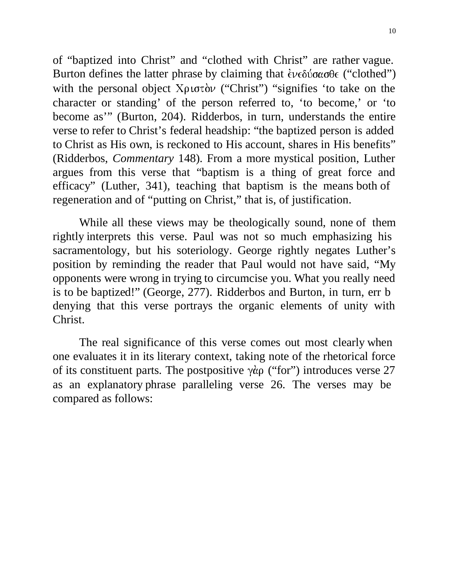of "baptized into Christ" and "clothed with Christ" are rather vague. Burton defines the latter phrase by claiming that  $\epsilon \nu \epsilon \delta \omega \sigma \theta \epsilon$  ("clothed") with the personal object  $X\rho\sigma\sigma\sigma\sigma'$  ("Christ") "signifies 'to take on the character or standing' of the person referred to, 'to become,' or 'to become as'" (Burton, 204). Ridderbos, in turn, understands the entire verse to refer to Christ's federal headship: "the baptized person is added to Christ as His own, is reckoned to His account, shares in His benefits" (Ridderbos, *Commentary* 148). From a more mystical position, Luther argues from this verse that "baptism is a thing of great force and efficacy" (Luther, 341), teaching that baptism is the means both of regeneration and of "putting on Christ," that is, of justification.

While all these views may be theologically sound, none of them rightly interprets this verse. Paul was not so much emphasizing his sacramentology, but his soteriology. George rightly negates Luther's position by reminding the reader that Paul would not have said, "My opponents were wrong in trying to circumcise you. What you really need is to be baptized!" (George, 277). Ridderbos and Burton, in turn, err b denying that this verse portrays the organic elements of unity with Christ.

The real significance of this verse comes out most clearly when one evaluates it in its literary context, taking note of the rhetorical force of its constituent parts. The postpositive  $\gamma \dot{\alpha}$  ("for") introduces verse 27 as an explanatory phrase paralleling verse 26. The verses may be compared as follows: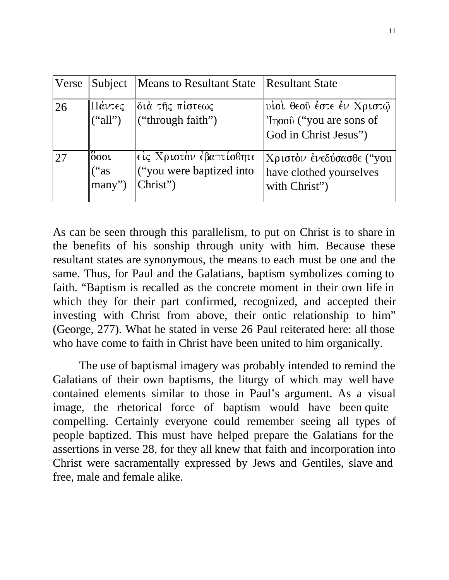| Verse | Subject                             | <b>Means to Resultant State</b>                                 | <b>Resultant State</b>                                                        |
|-------|-------------------------------------|-----------------------------------------------------------------|-------------------------------------------------------------------------------|
| 26    | Πάντες<br>("all")                   | διά τής πίστεως<br>("through faith")                            | υίοί θεού έστε έν Χριστώ<br>'Iησού ("you are sons of<br>God in Christ Jesus") |
| 27    | ∥ὄσοι<br>("as<br>$\parallel$ many") | είς Χριστὸν έβαπτίσθητε<br>("you were baptized into<br>Christ") | Χριστόν ένεδύσασθε ("you<br>have clothed yourselves<br>with Christ")          |

As can be seen through this parallelism, to put on Christ is to share in the benefits of his sonship through unity with him. Because these resultant states are synonymous, the means to each must be one and the same. Thus, for Paul and the Galatians, baptism symbolizes coming to faith. "Baptism is recalled as the concrete moment in their own life in which they for their part confirmed, recognized, and accepted their investing with Christ from above, their ontic relationship to him" (George, 277). What he stated in verse 26 Paul reiterated here: all those who have come to faith in Christ have been united to him organically.

The use of baptismal imagery was probably intended to remind the Galatians of their own baptisms, the liturgy of which may well have contained elements similar to those in Paul's argument. As a visual image, the rhetorical force of baptism would have been quite compelling. Certainly everyone could remember seeing all types of people baptized. This must have helped prepare the Galatians for the assertions in verse 28, for they all knew that faith and incorporation into Christ were sacramentally expressed by Jews and Gentiles, slave and free, male and female alike.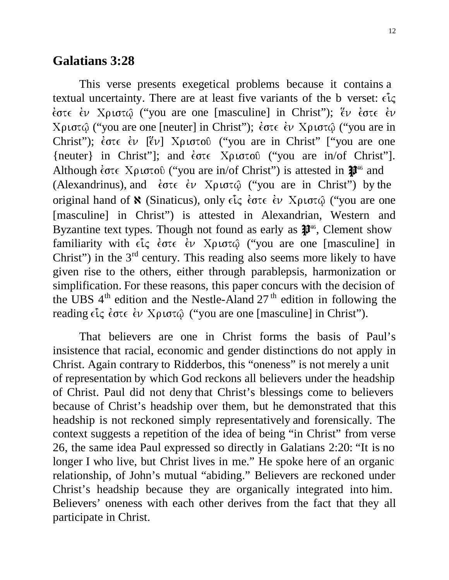#### **Galatians 3:28**

This verse presents exegetical problems because it contains a textual uncertainty. There are at least five variants of the b verset:  $\epsilon \hat{l} \zeta$ έστε έν Χριστώ ("you are one [masculine] in Christ"); ἕν ἐστε ἐν Xριστῷ ("you are one [neuter] in Christ"); ἐστε ἐν Χριστῷ ("you are in Christ"); έστε έν [έν] Χριστού ("you are in Christ" ["you are one {neuter} in Christ"]; and  $\epsilon \sigma \tau \epsilon$  Xplotoo ("you are in/of Christ"]. Although  $\epsilon$  ote  $X\rho$  to to 0 ("you are in/of Christ") is attested in  $\mathbb{P}^{46}$  and (Alexandrinus), and  $\epsilon \sigma \tau \epsilon \quad \epsilon \nu$  Xptor $\varphi$  ("you are in Christ") by the original hand of **N** (Sinaticus), only  $\epsilon \tilde{l} \zeta$  έστε έν Χριστώ ("you are one [masculine] in Christ") is attested in Alexandrian, Western and Byzantine text types. Though not found as early as  $\mathbb{I}^{46}$ , Clement show familiarity with είς έστε έν Χριστώ ("you are one [masculine] in Christ") in the  $3<sup>rd</sup>$  century. This reading also seems more likely to have given rise to the others, either through parablepsis, harmonization or simplification. For these reasons, this paper concurs with the decision of the UBS  $4<sup>th</sup>$  edition and the Nestle-Aland 27<sup>th</sup> edition in following the reading εἷς ἐστε ἐν Χριστῷ (''you are one [masculine] in Christ'').

That believers are one in Christ forms the basis of Paul's insistence that racial, economic and gender distinctions do not apply in Christ. Again contrary to Ridderbos, this "oneness" is not merely a unit of representation by which God reckons all believers under the headship of Christ. Paul did not deny that Christ's blessings come to believers because of Christ's headship over them, but he demonstrated that this headship is not reckoned simply representatively and forensically. The context suggests a repetition of the idea of being "in Christ" from verse 26, the same idea Paul expressed so directly in Galatians 2:20: "It is no longer I who live, but Christ lives in me." He spoke here of an organic relationship, of John's mutual "abiding." Believers are reckoned under Christ's headship because they are organically integrated into him. Believers' oneness with each other derives from the fact that they all participate in Christ.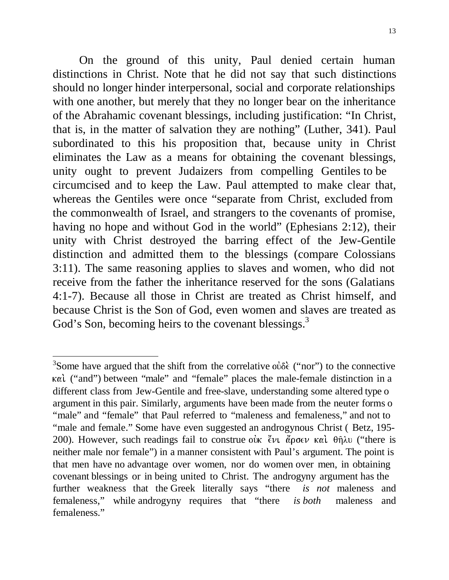On the ground of this unity, Paul denied certain human distinctions in Christ. Note that he did not say that such distinctions should no longer hinder interpersonal, social and corporate relationships with one another, but merely that they no longer bear on the inheritance of the Abrahamic covenant blessings, including justification: "In Christ, that is, in the matter of salvation they are nothing" (Luther, 341). Paul subordinated to this his proposition that, because unity in Christ eliminates the Law as a means for obtaining the covenant blessings, unity ought to prevent Judaizers from compelling Gentiles to be circumcised and to keep the Law. Paul attempted to make clear that, whereas the Gentiles were once "separate from Christ, excluded from the commonwealth of Israel, and strangers to the covenants of promise, having no hope and without God in the world" (Ephesians 2:12), their unity with Christ destroyed the barring effect of the Jew-Gentile distinction and admitted them to the blessings (compare Colossians 3:11). The same reasoning applies to slaves and women, who did not receive from the father the inheritance reserved for the sons (Galatians 4:1-7). Because all those in Christ are treated as Christ himself, and because Christ is the Son of God, even women and slaves are treated as God's Son, becoming heirs to the covenant blessings.<sup>3</sup>

<sup>&</sup>lt;sup>3</sup>Some have argued that the shift from the correlative  $o\dot{\delta} \dot{\epsilon}$  ("nor") to the connective ("and") between "male" and "female" places the male-female distinction in a different class from Jew-Gentile and free-slave, understanding some altered type o argument in this pair. Similarly, arguments have been made from the neuter forms o "male" and "female" that Paul referred to "maleness and femaleness," and not to "male and female." Some have even suggested an androgynous Christ (Betz, 195-200). However, such readings fail to construe ούκ "ένι άρσεν και θήλυ ("there is neither male nor female") in a manner consistent with Paul's argument. The point is that men have no advantage over women, nor do women over men, in obtaining covenant blessings or in being united to Christ. The androgyny argument has the further weakness that the Greek literally says "there *is not* maleness and femaleness," while androgyny requires that "there *is both* maleness and femaleness."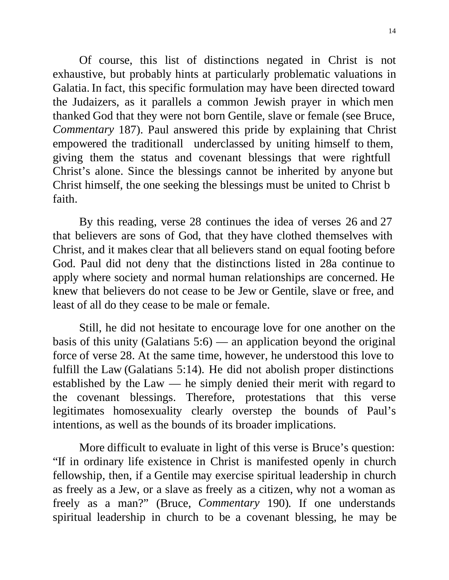Of course, this list of distinctions negated in Christ is not exhaustive, but probably hints at particularly problematic valuations in Galatia. In fact, this specific formulation may have been directed toward the Judaizers, as it parallels a common Jewish prayer in which men thanked God that they were not born Gentile, slave or female (see Bruce, *Commentary* 187). Paul answered this pride by explaining that Christ empowered the traditionall underclassed by uniting himself to them, giving them the status and covenant blessings that were rightfull Christ's alone. Since the blessings cannot be inherited by anyone but Christ himself, the one seeking the blessings must be united to Christ b faith.

By this reading, verse 28 continues the idea of verses 26 and 27 that believers are sons of God, that they have clothed themselves with Christ, and it makes clear that all believers stand on equal footing before God. Paul did not deny that the distinctions listed in 28a continue to apply where society and normal human relationships are concerned. He knew that believers do not cease to be Jew or Gentile, slave or free, and least of all do they cease to be male or female.

Still, he did not hesitate to encourage love for one another on the basis of this unity (Galatians  $5:6$ ) — an application beyond the original force of verse 28. At the same time, however, he understood this love to fulfill the Law (Galatians 5:14). He did not abolish proper distinctions established by the Law — he simply denied their merit with regard to the covenant blessings. Therefore, protestations that this verse legitimates homosexuality clearly overstep the bounds of Paul's intentions, as well as the bounds of its broader implications.

More difficult to evaluate in light of this verse is Bruce's question: "If in ordinary life existence in Christ is manifested openly in church fellowship, then, if a Gentile may exercise spiritual leadership in church as freely as a Jew, or a slave as freely as a citizen, why not a woman as freely as a man?" (Bruce, *Commentary* 190). If one understands spiritual leadership in church to be a covenant blessing, he may be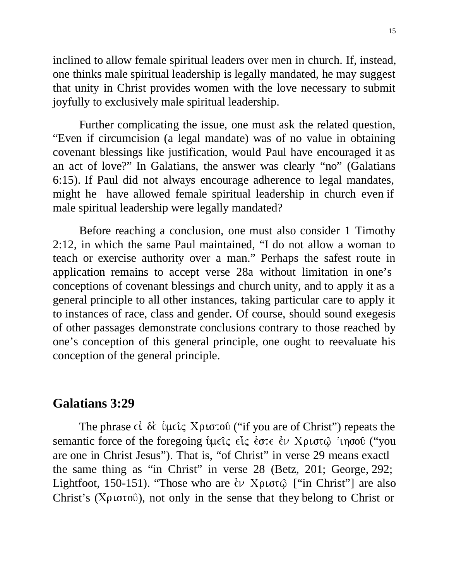inclined to allow female spiritual leaders over men in church. If, instead, one thinks male spiritual leadership is legally mandated, he may suggest that unity in Christ provides women with the love necessary to submit joyfully to exclusively male spiritual leadership.

Further complicating the issue, one must ask the related question, "Even if circumcision (a legal mandate) was of no value in obtaining covenant blessings like justification, would Paul have encouraged it as an act of love?" In Galatians, the answer was clearly "no" (Galatians 6:15). If Paul did not always encourage adherence to legal mandates, might he have allowed female spiritual leadership in church even if male spiritual leadership were legally mandated?

Before reaching a conclusion, one must also consider 1 Timothy 2:12, in which the same Paul maintained, "I do not allow a woman to teach or exercise authority over a man." Perhaps the safest route in application remains to accept verse 28a without limitation in one's conceptions of covenant blessings and church unity, and to apply it as a general principle to all other instances, taking particular care to apply it to instances of race, class and gender. Of course, should sound exegesis of other passages demonstrate conclusions contrary to those reached by one's conception of this general principle, one ought to reevaluate his conception of the general principle.

#### **Galatians 3:29**

The phrase εί δε ύμεις Χριστού ("if you are of Christ") repeats the semantic force of the foregoing ὑμεῖς εἶς ἐστε ἐν Χριστῷ 'ιησοῦ ("you are one in Christ Jesus"). That is, "of Christ" in verse 29 means exactl the same thing as "in Christ" in verse 28 (Betz, 201; George, 292; Lightfoot, 150-151). "Those who are έν Χριστώ ["in Christ"] are also Christ's ( $X\rho\sigma\sigma\sigma\sigma$ ), not only in the sense that they belong to Christ or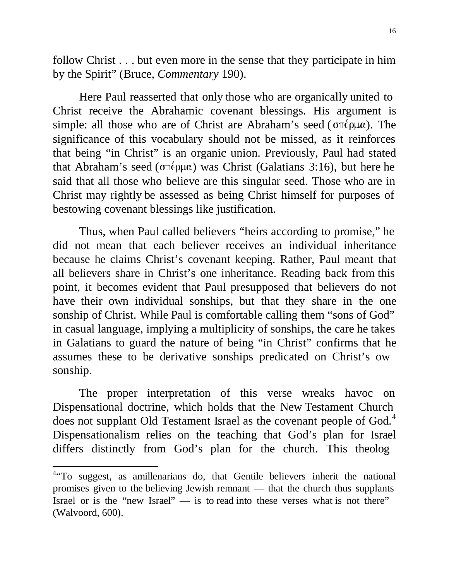follow Christ . . . but even more in the sense that they participate in him by the Spirit" (Bruce, *Commentary* 190).

Here Paul reasserted that only those who are organically united to Christ receive the Abrahamic covenant blessings. His argument is simple: all those who are of Christ are Abraham's seed ( $\sigma \pi \epsilon \rho \mu \alpha$ ). The significance of this vocabulary should not be missed, as it reinforces that being "in Christ" is an organic union. Previously, Paul had stated that Abraham's seed ( $\sigma \pi \epsilon \rho \mu \alpha$ ) was Christ (Galatians 3:16), but here he said that all those who believe are this singular seed. Those who are in Christ may rightly be assessed as being Christ himself for purposes of bestowing covenant blessings like justification.

Thus, when Paul called believers "heirs according to promise," he did not mean that each believer receives an individual inheritance because he claims Christ's covenant keeping. Rather, Paul meant that all believers share in Christ's one inheritance. Reading back from this point, it becomes evident that Paul presupposed that believers do not have their own individual sonships, but that they share in the one sonship of Christ. While Paul is comfortable calling them "sons of God" in casual language, implying a multiplicity of sonships, the care he takes in Galatians to guard the nature of being "in Christ" confirms that he assumes these to be derivative sonships predicated on Christ's ow sonship.

The proper interpretation of this verse wreaks havoc on Dispensational doctrine, which holds that the New Testament Church does not supplant Old Testament Israel as the covenant people of God.<sup>4</sup> Dispensationalism relies on the teaching that God's plan for Israel differs distinctly from God's plan for the church. This theolog

<sup>&</sup>lt;sup>4</sup> To suggest, as amillenarians do, that Gentile believers inherit the national promises given to the believing Jewish remnant — that the church thus supplants Israel or is the "new Israel" — is to read into these verses what is not there" (Walvoord, 600).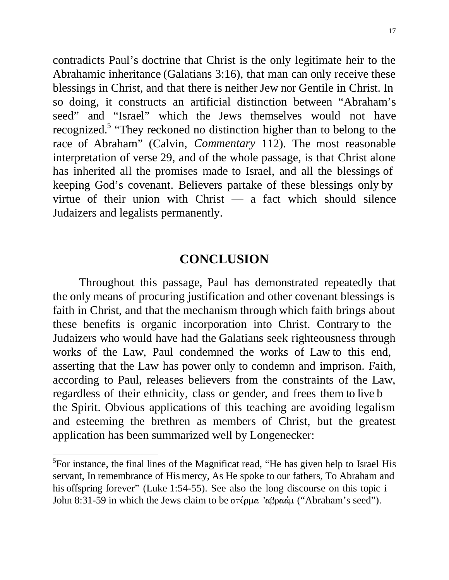contradicts Paul's doctrine that Christ is the only legitimate heir to the Abrahamic inheritance (Galatians 3:16), that man can only receive these blessings in Christ, and that there is neither Jew nor Gentile in Christ. In so doing, it constructs an artificial distinction between "Abraham's seed" and "Israel" which the Jews themselves would not have recognized.<sup>5</sup> "They reckoned no distinction higher than to belong to the race of Abraham" (Calvin, *Commentary* 112). The most reasonable interpretation of verse 29, and of the whole passage, is that Christ alone has inherited all the promises made to Israel, and all the blessings of keeping God's covenant. Believers partake of these blessings only by virtue of their union with Christ — a fact which should silence Judaizers and legalists permanently.

## **CONCLUSION**

Throughout this passage, Paul has demonstrated repeatedly that the only means of procuring justification and other covenant blessings is faith in Christ, and that the mechanism through which faith brings about these benefits is organic incorporation into Christ. Contrary to the Judaizers who would have had the Galatians seek righteousness through works of the Law, Paul condemned the works of Law to this end, asserting that the Law has power only to condemn and imprison. Faith, according to Paul, releases believers from the constraints of the Law, regardless of their ethnicity, class or gender, and frees them to live b the Spirit. Obvious applications of this teaching are avoiding legalism and esteeming the brethren as members of Christ, but the greatest application has been summarized well by Longenecker:

<sup>&</sup>lt;sup>5</sup>For instance, the final lines of the Magnificat read, "He has given help to Israel His servant, In remembrance of His mercy, As He spoke to our fathers, To Abraham and his offspring forever" (Luke 1:54-55). See also the long discourse on this topic i John 8:31-59 in which the Jews claim to be  $\sigma \pi \epsilon \rho \mu \alpha$  ' $\alpha \beta \rho \alpha \alpha' \mu$  ("Abraham's seed").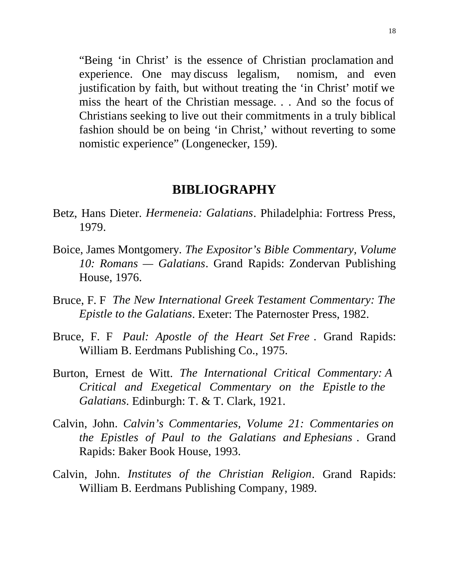"Being 'in Christ' is the essence of Christian proclamation and experience. One may discuss legalism, nomism, and even justification by faith, but without treating the 'in Christ' motif we miss the heart of the Christian message. . . And so the focus of Christians seeking to live out their commitments in a truly biblical fashion should be on being 'in Christ,' without reverting to some nomistic experience" (Longenecker, 159).

#### **BIBLIOGRAPHY**

- Betz, Hans Dieter. *Hermeneia: Galatians*. Philadelphia: Fortress Press, 1979.
- Boice, James Montgomery. *The Expositor's Bible Commentary, Volume 10: Romans — Galatians*. Grand Rapids: Zondervan Publishing House, 1976.
- Bruce, F. F *The New International Greek Testament Commentary: The Epistle to the Galatians*. Exeter: The Paternoster Press, 1982.
- Bruce, F. F *Paul: Apostle of the Heart Set Free* . Grand Rapids: William B. Eerdmans Publishing Co., 1975.
- Burton, Ernest de Witt. *The International Critical Commentary: A Critical and Exegetical Commentary on the Epistle to the Galatians*. Edinburgh: T. & T. Clark, 1921.
- Calvin, John. *Calvin's Commentaries, Volume 21: Commentaries on the Epistles of Paul to the Galatians and Ephesians* . Grand Rapids: Baker Book House, 1993.
- Calvin, John. *Institutes of the Christian Religion*. Grand Rapids: William B. Eerdmans Publishing Company, 1989.